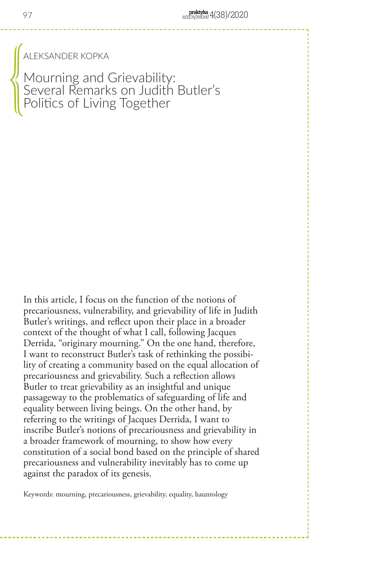ALEKSANDER KOPKA

Mourning and Grievability: Several Remarks on Judith Butler's Politics of Living Together  $\bigcup\limits_{i=1}^n$ 

In this article, I focus on the function of the notions of precariousness, vulnerability, and grievability of life in Judith Butler's writings, and reflect upon their place in a broader context of the thought of what I call, following Jacques Derrida, "originary mourning." On the one hand, therefore, I want to reconstruct Butler's task of rethinking the possibility of creating a community based on the equal allocation of precariousness and grievability. Such a reflection allows Butler to treat grievability as an insightful and unique passageway to the problematics of safeguarding of life and equality between living beings. On the other hand, by referring to the writings of Jacques Derrida, I want to inscribe Butler's notions of precariousness and grievability in a broader framework of mourning, to show how every constitution of a social bond based on the principle of shared precariousness and vulnerability inevitably has to come up against the paradox of its genesis.

Keywords: mourning, precariousness, grievability, equality, hauntology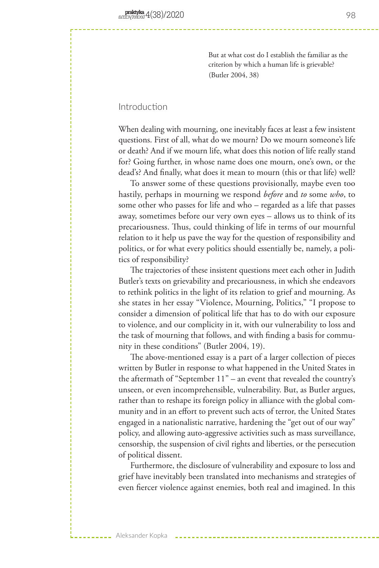But at what cost do I establish the familiar as the criterion by which a human life is grievable? (Butler 2004, 38)

## Introduction

Aleksander Kopka

When dealing with mourning, one inevitably faces at least a few insistent questions. First of all, what do we mourn? Do we mourn someone's life or death? And if we mourn life, what does this notion of life really stand for? Going further, in whose name does one mourn, one's own, or the dead's? And finally, what does it mean to mourn (this or that life) well?

To answer some of these questions provisionally, maybe even too hastily, perhaps in mourning we respond *before* and *to* some *who*, to some other who passes for life and who – regarded as a life that passes away, sometimes before our very own eyes – allows us to think of its precariousness. Thus, could thinking of life in terms of our mournful relation to it help us pave the way for the question of responsibility and politics, or for what every politics should essentially be, namely, a politics of responsibility?

The trajectories of these insistent questions meet each other in Judith Butler's texts on grievability and precariousness, in which she endeavors to rethink politics in the light of its relation to grief and mourning. As she states in her essay "Violence, Mourning, Politics," "I propose to consider a dimension of political life that has to do with our exposure to violence, and our complicity in it, with our vulnerability to loss and the task of mourning that follows, and with finding a basis for community in these conditions" (Butler 2004, 19).

The above-mentioned essay is a part of a larger collection of pieces written by Butler in response to what happened in the United States in the aftermath of "September 11" – an event that revealed the country's unseen, or even incomprehensible, vulnerability. But, as Butler argues, rather than to reshape its foreign policy in alliance with the global community and in an effort to prevent such acts of terror, the United States engaged in a nationalistic narrative, hardening the "get out of our way" policy, and allowing auto-aggressive activities such as mass surveillance, censorship, the suspension of civil rights and liberties, or the persecution of political dissent.

Furthermore, the disclosure of vulnerability and exposure to loss and grief have inevitably been translated into mechanisms and strategies of even fiercer violence against enemies, both real and imagined. In this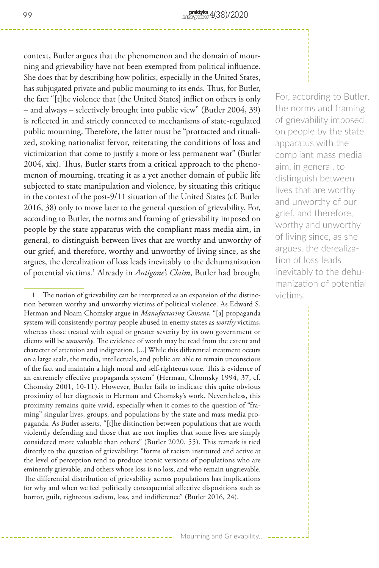context, Butler argues that the phenomenon and the domain of mourning and grievability have not been exempted from political influence. She does that by describing how politics, especially in the United States, has subjugated private and public mourning to its ends. Thus, for Butler, the fact "[t]he violence that [the United States] inflict on others is only – and always – selectively brought into public view" (Butler 2004, 39) is reflected in and strictly connected to mechanisms of state-regulated public mourning. Therefore, the latter must be "protracted and ritualized, stoking nationalist fervor, reiterating the conditions of loss and victimization that come to justify a more or less permanent war" (Butler 2004, xix). Thus, Butler starts from a critical approach to the phenomenon of mourning, treating it as a yet another domain of public life subjected to state manipulation and violence, by situating this critique in the context of the post-9/11 situation of the United States (cf. Butler 2016, 38) only to move later to the general question of grievability. For, according to Butler, the norms and framing of grievability imposed on people by the state apparatus with the compliant mass media aim, in general, to distinguish between lives that are worthy and unworthy of our grief, and therefore, worthy and unworthy of living since, as she argues, the derealization of loss leads inevitably to the dehumanization of potential victims.1 Already in *Antigone's Claim*, Butler had brought

1 The notion of grievability can be interpreted as an expansion of the distinction between worthy and unworthy victims of political violence. As Edward S. Herman and Noam Chomsky argue in *Manufacturing Consent*, "[a] propaganda system will consistently portray people abused in enemy states as *worthy* victims, whereas those treated with equal or greater severity by its own government or clients will be *unworthy*. The evidence of worth may be read from the extent and character of attention and indignation. [...] While this differential treatment occurs on a large scale, the media, intellectuals, and public are able to remain unconscious of the fact and maintain a high moral and self-righteous tone. This is evidence of an extremely effective propaganda system" (Herman, Chomsky 1994, 37, cf. Chomsky 2001, 10-11). However, Butler fails to indicate this quite obvious proximity of her diagnosis to Herman and Chomsky's work. Nevertheless, this proximity remains quite vivid, especially when it comes to the question of "framing" singular lives, groups, and populations by the state and mass media propaganda. As Butler asserts, "[t]he distinction between populations that are worth violently defending and those that are not implies that some lives are simply considered more valuable than others" (Butler 2020, 55). This remark is tied directly to the question of grievability: "forms of racism instituted and active at the level of perception tend to produce iconic versions of populations who are eminently grievable, and others whose loss is no loss, and who remain ungrievable. The differential distribution of grievability across populations has implications for why and when we feel politically consequential affective dispositions such as horror, guilt, righteous sadism, loss, and indifference" (Butler 2016, 24).

For, according to Butler, the norms and framing of grievability imposed on people by the state apparatus with the compliant mass media aim, in general, to distinguish between lives that are worthy and unworthy of our grief, and therefore, worthy and unworthy of living since, as she argues, the derealization of loss leads inevitably to the dehumanization of potential victims.

Mourning and Grievability...  $---$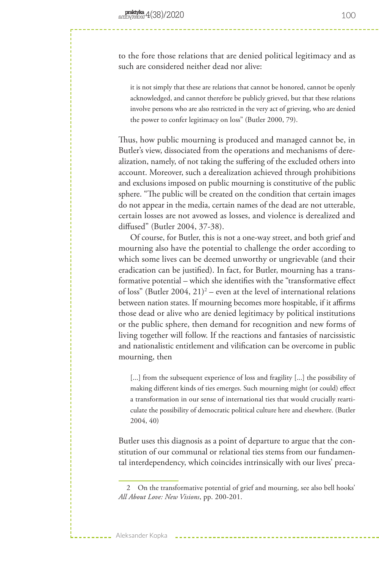to the fore those relations that are denied political legitimacy and as such are considered neither dead nor alive:

it is not simply that these are relations that cannot be honored, cannot be openly acknowledged, and cannot therefore be publicly grieved, but that these relations involve persons who are also restricted in the very act of grieving, who are denied the power to confer legitimacy on loss" (Butler 2000, 79).

Thus, how public mourning is produced and managed cannot be, in Butler's view, dissociated from the operations and mechanisms of derealization, namely, of not taking the suffering of the excluded others into account. Moreover, such a derealization achieved through prohibitions and exclusions imposed on public mourning is constitutive of the public sphere. "The public will be created on the condition that certain images do not appear in the media, certain names of the dead are not utterable, certain losses are not avowed as losses, and violence is derealized and diffused" (Butler 2004, 37-38).

Of course, for Butler, this is not a one-way street, and both grief and mourning also have the potential to challenge the order according to which some lives can be deemed unworthy or ungrievable (and their eradication can be justified). In fact, for Butler, mourning has a transformative potential – which she identifies with the "transformative effect of loss" (Butler 2004, 21)<sup>2</sup> – even at the level of international relations between nation states. If mourning becomes more hospitable, if it affirms those dead or alive who are denied legitimacy by political institutions or the public sphere, then demand for recognition and new forms of living together will follow. If the reactions and fantasies of narcissistic and nationalistic entitlement and vilification can be overcome in public mourning, then

[...] from the subsequent experience of loss and fragility [...] the possibility of making different kinds of ties emerges. Such mourning might (or could) effect a transformation in our sense of international ties that would crucially rearticulate the possibility of democratic political culture here and elsewhere. (Butler 2004, 40)

Butler uses this diagnosis as a point of departure to argue that the constitution of our communal or relational ties stems from our fundamental interdependency, which coincides intrinsically with our lives' preca-

Aleksander Kopka

<sup>2</sup> On the transformative potential of grief and mourning, see also bell hooks' *All About Love: New Visions*, pp. 200-201.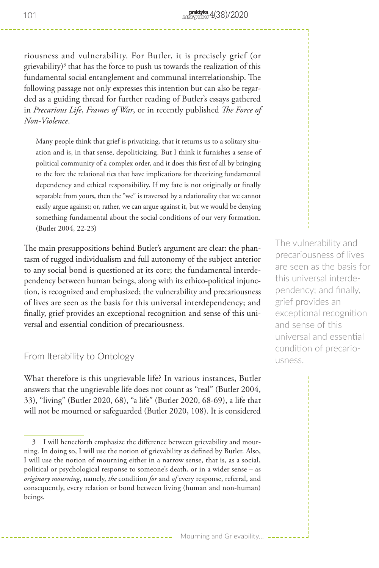riousness and vulnerability. For Butler, it is precisely grief (or grievability)3 that has the force to push us towards the realization of this fundamental social entanglement and communal interrelationship. The following passage not only expresses this intention but can also be regarded as a guiding thread for further reading of Butler's essays gathered in *Precarious Life*, *Frames of War*, or in recently published *The Force of Non-Violence*.

Many people think that grief is privatizing, that it returns us to a solitary situation and is, in that sense, depoliticizing. But I think it furnishes a sense of political community of a complex order, and it does this first of all by bringing to the fore the relational ties that have implications for theorizing fundamental dependency and ethical responsibility. If my fate is not originally or finally separable from yours, then the "we" is traversed by a relationality that we cannot easily argue against; or, rather, we can argue against it, but we would be denying something fundamental about the social conditions of our very formation. (Butler 2004, 22-23)

The main presuppositions behind Butler's argument are clear: the phantasm of rugged individualism and full autonomy of the subject anterior to any social bond is questioned at its core; the fundamental interdependency between human beings, along with its ethico-political injunction, is recognized and emphasized; the vulnerability and precariousness of lives are seen as the basis for this universal interdependency; and finally, grief provides an exceptional recognition and sense of this universal and essential condition of precariousness.

From Iterability to Ontology

What therefore is this ungrievable life? In various instances, Butler answers that the ungrievable life does not count as "real" (Butler 2004, 33), "living" (Butler 2020, 68), "a life" (Butler 2020, 68-69), a life that will not be mourned or safeguarded (Butler 2020, 108). It is considered

The vulnerability and precariousness of lives are seen as the basis for this universal interdependency; and finally, grief provides an exceptional recognition and sense of this universal and essential condition of precariousness.

<sup>3</sup> I will henceforth emphasize the difference between grievability and mourning. In doing so, I will use the notion of grievability as defined by Butler. Also, I will use the notion of mourning either in a narrow sense, that is, as a social, political or psychological response to someone's death, or in a wider sense – as *originary mourning*, namely, *the* condition *for* and *of* every response, referral, and consequently, every relation or bond between living (human and non-human) beings.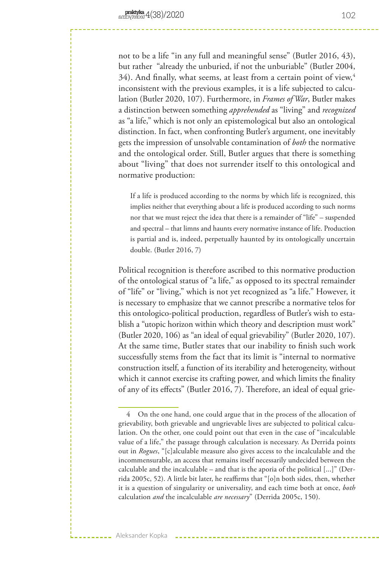not to be a life "in any full and meaningful sense" (Butler 2016, 43), but rather "already the unburied, if not the unburiable" (Butler 2004, 34). And finally, what seems, at least from a certain point of view,<sup>4</sup> inconsistent with the previous examples, it is a life subjected to calculation (Butler 2020, 107). Furthermore, in *Frames of War*, Butler makes a distinction between something *apprehended* as "living" and *recognized* as "a life," which is not only an epistemological but also an ontological distinction. In fact, when confronting Butler's argument, one inevitably gets the impression of unsolvable contamination of *both* the normative and the ontological order. Still, Butler argues that there is something about "living" that does not surrender itself to this ontological and normative production:

If a life is produced according to the norms by which life is recognized, this implies neither that everything about a life is produced according to such norms nor that we must reject the idea that there is a remainder of "life" – suspended and spectral – that limns and haunts every normative instance of life. Production is partial and is, indeed, perpetually haunted by its ontologically uncertain double. (Butler 2016, 7)

Political recognition is therefore ascribed to this normative production of the ontological status of "a life," as opposed to its spectral remainder of "life" or "living," which is not yet recognized as "a life." However, it is necessary to emphasize that we cannot prescribe a normative telos for this ontologico-political production, regardless of Butler's wish to establish a "utopic horizon within which theory and description must work" (Butler 2020, 106) as "an ideal of equal grievability" (Butler 2020, 107). At the same time, Butler states that our inability to finish such work successfully stems from the fact that its limit is "internal to normative construction itself, a function of its iterability and heterogeneity, without which it cannot exercise its crafting power, and which limits the finality of any of its effects" (Butler 2016, 7). Therefore, an ideal of equal grie-

Aleksander Kopka

<sup>4</sup> On the one hand, one could argue that in the process of the allocation of grievability, both grievable and ungrievable lives are subjected to political calculation. On the other, one could point out that even in the case of "incalculable value of a life," the passage through calculation is necessary. As Derrida points out in *Rogues*, "[c]alculable measure also gives access to the incalculable and the incommensurable, an access that remains itself necessarily undecided between the calculable and the incalculable – and that is the aporia of the political [...]" (Derrida 2005c, 52). A little bit later, he reaffirms that "[o]n both sides, then, whether it is a question of singularity or universality, and each time both at once, *both* calculation *and* the incalculable *are necessary*" (Derrida 2005c, 150).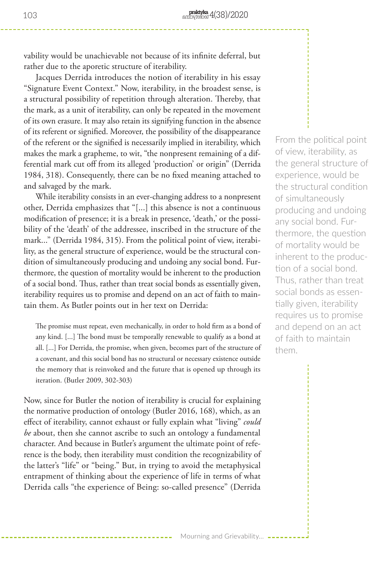vability would be unachievable not because of its infinite deferral, but rather due to the aporetic structure of iterability.

Jacques Derrida introduces the notion of iterability in his essay "Signature Event Context." Now, iterability, in the broadest sense, is a structural possibility of repetition through alteration. Thereby, that the mark, as a unit of iterability, can only be repeated in the movement of its own erasure. It may also retain its signifying function in the absence of its referent or signified. Moreover, the possibility of the disappearance of the referent or the signified is necessarily implied in iterability, which makes the mark a grapheme, to wit, "the nonpresent remaining of a differential mark cut off from its alleged 'production' or origin" (Derrida 1984, 318). Consequently, there can be no fixed meaning attached to and salvaged by the mark.

While iterability consists in an ever-changing address to a nonpresent other, Derrida emphasizes that "[...] this absence is not a continuous modification of presence; it is a break in presence, 'death,' or the possibility of the 'death' of the addressee, inscribed in the structure of the mark..." (Derrida 1984, 315). From the political point of view, iterability, as the general structure of experience, would be the structural condition of simultaneously producing and undoing any social bond. Furthermore, the question of mortality would be inherent to the production of a social bond. Thus, rather than treat social bonds as essentially given, iterability requires us to promise and depend on an act of faith to maintain them. As Butler points out in her text on Derrida:

The promise must repeat, even mechanically, in order to hold firm as a bond of any kind. [...] The bond must be temporally renewable to qualify as a bond at all. [...] For Derrida, the promise, when given, becomes part of the structure of a covenant, and this social bond has no structural or necessary existence outside the memory that is reinvoked and the future that is opened up through its iteration. (Butler 2009, 302-303)

Now, since for Butler the notion of iterability is crucial for explaining the normative production of ontology (Butler 2016, 168), which, as an effect of iterability, cannot exhaust or fully explain what "living" *could be* about, then she cannot ascribe to such an ontology a fundamental character. And because in Butler's argument the ultimate point of reference is the body, then iterability must condition the recognizability of the latter's "life" or "being." But, in trying to avoid the metaphysical entrapment of thinking about the experience of life in terms of what Derrida calls "the experience of Being: so-called presence" (Derrida

From the political point of view, iterability, as the general structure of experience, would be the structural condition of simultaneously producing and undoing any social bond. Furthermore, the question of mortality would be inherent to the production of a social bond. Thus, rather than treat social bonds as essentially given, iterability requires us to promise and depend on an act of faith to maintain them.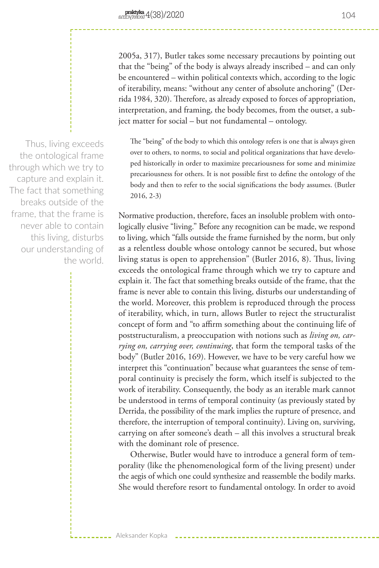2005a, 317), Butler takes some necessary precautions by pointing out that the "being" of the body is always already inscribed – and can only be encountered – within political contexts which, according to the logic of iterability, means: "without any center of absolute anchoring" (Derrida 1984, 320). Therefore, as already exposed to forces of appropriation, interpretation, and framing, the body becomes, from the outset, a subject matter for social – but not fundamental – ontology.

The "being" of the body to which this ontology refers is one that is always given over to others, to norms, to social and political organizations that have developed historically in order to maximize precariousness for some and minimize precariousness for others. It is not possible first to define the ontology of the body and then to refer to the social significations the body assumes. (Butler 2016, 2-3)

Normative production, therefore, faces an insoluble problem with ontologically elusive "living." Before any recognition can be made, we respond to living, which "falls outside the frame furnished by the norm, but only as a relentless double whose ontology cannot be secured, but whose living status is open to apprehension" (Butler 2016, 8). Thus, living exceeds the ontological frame through which we try to capture and explain it. The fact that something breaks outside of the frame, that the frame is never able to contain this living, disturbs our understanding of the world. Moreover, this problem is reproduced through the process of iterability, which, in turn, allows Butler to reject the structuralist concept of form and "to affirm something about the continuing life of poststructuralism, a preoccupation with notions such as *living on, carrying on, carrying over, continuing*, that form the temporal tasks of the body" (Butler 2016, 169). However, we have to be very careful how we interpret this "continuation" because what guarantees the sense of temporal continuity is precisely the form, which itself is subjected to the work of iterability. Consequently, the body as an iterable mark cannot be understood in terms of temporal continuity (as previously stated by Derrida, the possibility of the mark implies the rupture of presence, and therefore, the interruption of temporal continuity). Living on, surviving, carrying on after someone's death – all this involves a structural break with the dominant role of presence.

Otherwise, Butler would have to introduce a general form of temporality (like the phenomenological form of the living present) under the aegis of which one could synthesize and reassemble the bodily marks. She would therefore resort to fundamental ontology. In order to avoid

Aleksander Kopka

Thus, living exceeds the ontological frame through which we try to capture and explain it. The fact that something breaks outside of the frame, that the frame is never able to contain this living, disturbs our understanding of the world.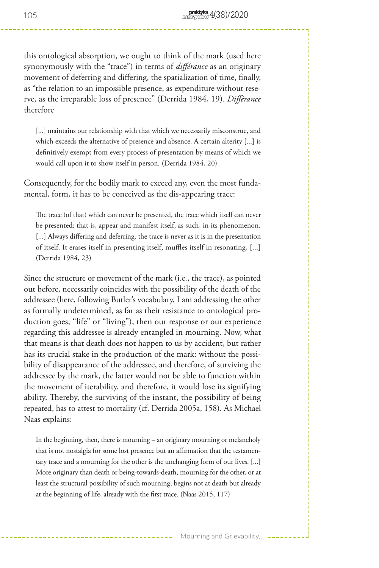this ontological absorption, we ought to think of the mark (used here synonymously with the "trace") in terms of *différance* as an originary movement of deferring and differing, the spatialization of time, finally, as "the relation to an impossible presence, as expenditure without reserve, as the irreparable loss of presence" (Derrida 1984, 19). *Différance* therefore

[...] maintains our relationship with that which we necessarily misconstrue, and which exceeds the alternative of presence and absence. A certain alterity [...] is definitively exempt from every process of presentation by means of which we would call upon it to show itself in person. (Derrida 1984, 20)

Consequently, for the bodily mark to exceed any, even the most fundamental, form, it has to be conceived as the dis-appearing trace:

The trace (of that) which can never be presented, the trace which itself can never be presented: that is, appear and manifest itself, as such, in its phenomenon. [...] Always differing and deferring, the trace is never as it is in the presentation of itself. It erases itself in presenting itself, muffles itself in resonating, [...] (Derrida 1984, 23)

Since the structure or movement of the mark (i.e., the trace), as pointed out before, necessarily coincides with the possibility of the death of the addressee (here, following Butler's vocabulary, I am addressing the other as formally undetermined, as far as their resistance to ontological production goes, "life" or "living"), then our response or our experience regarding this addressee is already entangled in mourning. Now, what that means is that death does not happen to us by accident, but rather has its crucial stake in the production of the mark: without the possibility of disappearance of the addressee, and therefore, of surviving the addressee by the mark, the latter would not be able to function within the movement of iterability, and therefore, it would lose its signifying ability. Thereby, the surviving of the instant, the possibility of being repeated, has to attest to mortality (cf. Derrida 2005a, 158). As Michael Naas explains:

In the beginning, then, there is mourning – an originary mourning or melancholy that is not nostalgia for some lost presence but an affirmation that the testamentary trace and a mourning for the other is the unchanging form of our lives. [...] More originary than death or being-towards-death, mourning for the other, or at least the structural possibility of such mourning, begins not at death but already at the beginning of life, already with the first trace. (Naas 2015, 117)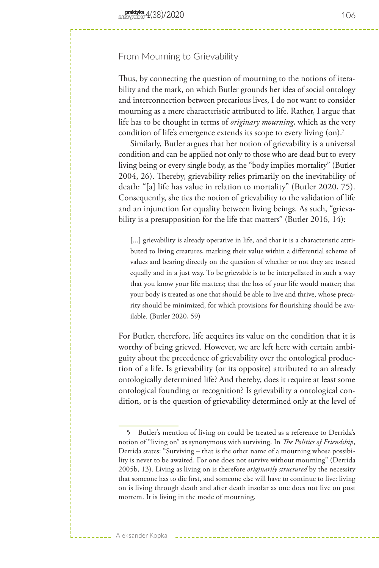# From Mourning to Grievability

Thus, by connecting the question of mourning to the notions of iterability and the mark, on which Butler grounds her idea of social ontology and interconnection between precarious lives, I do not want to consider mourning as a mere characteristic attributed to life. Rather, I argue that life has to be thought in terms of *originary mourning*, which as the very condition of life's emergence extends its scope to every living (on).<sup>5</sup>

Similarly, Butler argues that her notion of grievability is a universal condition and can be applied not only to those who are dead but to every living being or every single body, as the "body implies mortality" (Butler 2004, 26). Thereby, grievability relies primarily on the inevitability of death: "[a] life has value in relation to mortality" (Butler 2020, 75). Consequently, she ties the notion of grievability to the validation of life and an injunction for equality between living beings. As such, "grievability is a presupposition for the life that matters" (Butler 2016, 14):

[...] grievability is already operative in life, and that it is a characteristic attributed to living creatures, marking their value within a differential scheme of values and bearing directly on the question of whether or not they are treated equally and in a just way. To be grievable is to be interpellated in such a way that you know your life matters; that the loss of your life would matter; that your body is treated as one that should be able to live and thrive, whose precarity should be minimized, for which provisions for flourishing should be available. (Butler 2020, 59)

For Butler, therefore, life acquires its value on the condition that it is worthy of being grieved. However, we are left here with certain ambiguity about the precedence of grievability over the ontological production of a life. Is grievability (or its opposite) attributed to an already ontologically determined life? And thereby, does it require at least some ontological founding or recognition? Is grievability a ontological condition, or is the question of grievability determined only at the level of

<sup>5</sup> Butler's mention of living on could be treated as a reference to Derrida's notion of "living on" as synonymous with surviving. In *The Politics of Friendship*, Derrida states: "Surviving – that is the other name of a mourning whose possibility is never to be awaited. For one does not survive without mourning" (Derrida 2005b, 13). Living as living on is therefore *originarily structured* by the necessity that someone has to die first, and someone else will have to continue to live: living on is living through death and after death insofar as one does not live on post mortem. It is living in the mode of mourning.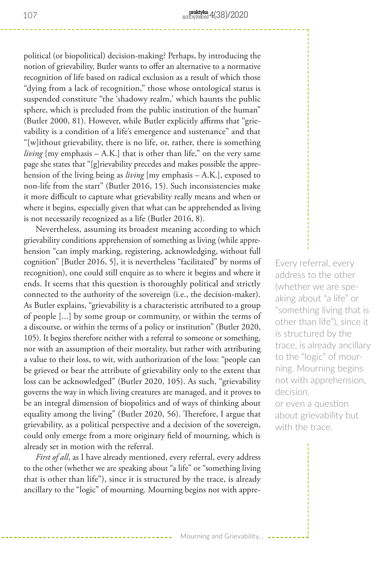political (or biopolitical) decision-making? Perhaps, by introducing the notion of grievability, Butler wants to offer an alternative to a normative recognition of life based on radical exclusion as a result of which those "dying from a lack of recognition," those whose ontological status is suspended constitute "the 'shadowy realm,' which haunts the public sphere, which is precluded from the public institution of the human" (Butler 2000, 81). However, while Butler explicitly affirms that "grievability is a condition of a life's emergence and sustenance" and that "[w]ithout grievability, there is no life, or, rather, there is something *living*  $[my \text{ emphasis} - A.K.]$  that is other than life," on the very same page she states that "[g]rievability precedes and makes possible the apprehension of the living being as *living* [my emphasis – A.K.], exposed to non-life from the start" (Butler 2016, 15). Such inconsistencies make it more difficult to capture what grievability really means and when or where it begins, especially given that what can be apprehended as living is not necessarily recognized as a life (Butler 2016, 8).

Nevertheless, assuming its broadest meaning according to which grievability conditions apprehension of something as living (while apprehension "can imply marking, registering, acknowledging, without full cognition" [Butler 2016, 5], it is nevertheless "facilitated" by norms of recognition), one could still enquire as to where it begins and where it ends. It seems that this question is thoroughly political and strictly connected to the authority of the sovereign (i.e., the decision-maker). As Butler explains, "grievability is a characteristic attributed to a group of people [...] by some group or community, or within the terms of a discourse, or within the terms of a policy or institution" (Butler 2020, 105). It begins therefore neither with a referral to someone or something, nor with an assumption of their mortality, but rather with attributing a value to their loss, to wit, with authorization of the loss: "people can be grieved or bear the attribute of grievability only to the extent that loss can be acknowledged" (Butler 2020, 105). As such, "grievability governs the way in which living creatures are managed, and it proves to be an integral dimension of biopolitics and of ways of thinking about equality among the living" (Butler 2020, 56). Therefore, I argue that grievability, as a political perspective and a decision of the sovereign, could only emerge from a more originary field of mourning, which is already set in motion with the referral.

*First of all*, as I have already mentioned, every referral, every address to the other (whether we are speaking about "a life" or "something living that is other than life"), since it is structured by the trace, is already ancillary to the "logic" of mourning. Mourning begins not with appre-

Every referral, every address to the other (whether we are speaking about "a life" or "something living that is other than life"), since it is structured by the trace, is already ancillary to the "logic" of mourning. Mourning begins not with apprehension, decision,

or even a question about grievability but with the trace.

Mourning and Grievability... ---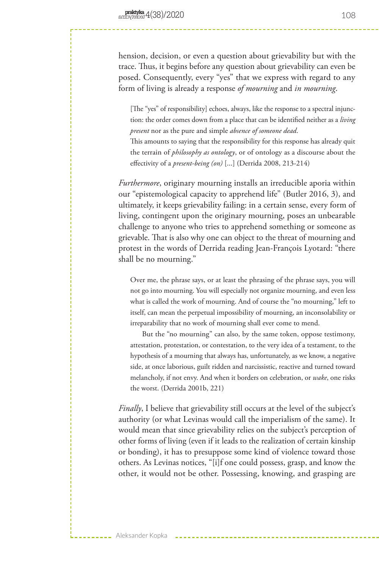hension, decision, or even a question about grievability but with the trace. Thus, it begins before any question about grievability can even be posed. Consequently, every "yes" that we express with regard to any form of living is already a response *of mourning* and *in mourning*.

[The "yes" of responsibility] echoes, always, like the response to a spectral injunction: the order comes down from a place that can be identified neither as a *living present* nor as the pure and simple *absence of someone dead*.

This amounts to saying that the responsibility for this response has already quit the terrain of *philosophy as ontology*, or of ontology as a discourse about the effectivity of a *present-being (on)* [...] (Derrida 2008, 213-214)

*Furthermore*, originary mourning installs an irreducible aporia within our "epistemological capacity to apprehend life" (Butler 2016, 3), and ultimately, it keeps grievability failing: in a certain sense, every form of living, contingent upon the originary mourning, poses an unbearable challenge to anyone who tries to apprehend something or someone as grievable. That is also why one can object to the threat of mourning and protest in the words of Derrida reading Jean-François Lyotard: "there shall be no mourning."

Over me, the phrase says, or at least the phrasing of the phrase says, you will not go into mourning. You will especially not organize mourning, and even less what is called the work of mourning. And of course the "no mourning," left to itself, can mean the perpetual impossibility of mourning, an inconsolability or irreparability that no work of mourning shall ever come to mend.

But the "no mourning" can also, by the same token, oppose testimony, attestation, protestation, or contestation, to the very idea of a testament, to the hypothesis of a mourning that always has, unfortunately, as we know, a negative side, at once laborious, guilt ridden and narcissistic, reactive and turned toward melancholy, if not envy. And when it borders on celebration, or *wake*, one risks the worst. (Derrida 2001b, 221)

*Finally*, I believe that grievability still occurs at the level of the subject's authority (or what Levinas would call the imperialism of the same). It would mean that since grievability relies on the subject's perception of other forms of living (even if it leads to the realization of certain kinship or bonding), it has to presuppose some kind of violence toward those others. As Levinas notices, "[i]f one could possess, grasp, and know the other, it would not be other. Possessing, knowing, and grasping are

Aleksander Kopka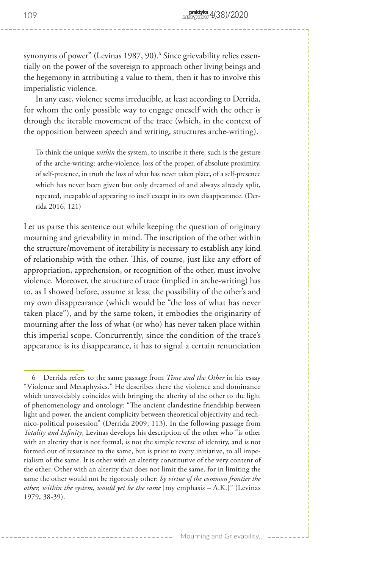synonyms of power" (Levinas 1987, 90).<sup>6</sup> Since grievability relies essentially on the power of the sovereign to approach other living beings and the hegemony in attributing a value to them, then it has to involve this imperialistic violence.

In any case, violence seems irreducible, at least according to Derrida, for whom the only possible way to engage oneself with the other is through the iterable movement of the trace (which, in the context of the opposition between speech and writing, structures arche-writing).

To think the unique *within* the system, to inscribe it there, such is the gesture of the arche-writing: arche-violence, loss of the proper, of absolute proximity, of self-presence, in truth the loss of what has never taken place, of a self-presence which has never been given but only dreamed of and always already split, repeated, incapable of appearing to itself except in its own disappearance. (Derrida 2016, 121)

Let us parse this sentence out while keeping the question of originary mourning and grievability in mind. The inscription of the other within the structure/movement of iterability is necessary to establish any kind of relationship with the other. This, of course, just like any effort of appropriation, apprehension, or recognition of the other, must involve violence. Moreover, the structure of trace (implied in arche-writing) has to, as I showed before, assume at least the possibility of the other's and my own disappearance (which would be "the loss of what has never taken place"), and by the same token, it embodies the originarity of mourning after the loss of what (or who) has never taken place within this imperial scope. Concurrently, since the condition of the trace's appearance is its disappearance, it has to signal a certain renunciation

<sup>6</sup> Derrida refers to the same passage from *Time and the Other* in his essay "Violence and Metaphysics." He describes there the violence and dominance which unavoidably coincides with bringing the alterity of the other to the light of phenomenology and ontology: "The ancient clandestine friendship between light and power, the ancient complicity between theoretical objectivity and technico-political possession" (Derrida 2009, 113). In the following passage from *Totality and Infinity*, Levinas develops his description of the other who "is other with an alterity that is not formal, is not the simple reverse of identity, and is not formed out of resistance to the same, but is prior to every initiative, to all imperialism of the same. It is other with an alterity constitutive of the very content of the other. Other with an alterity that does not limit the same, for in limiting the same the other would not be rigorously other: *by virtue of the common frontier the other, within the system, would yet be the same* [my emphasis – A.K.]" (Levinas 1979, 38-39).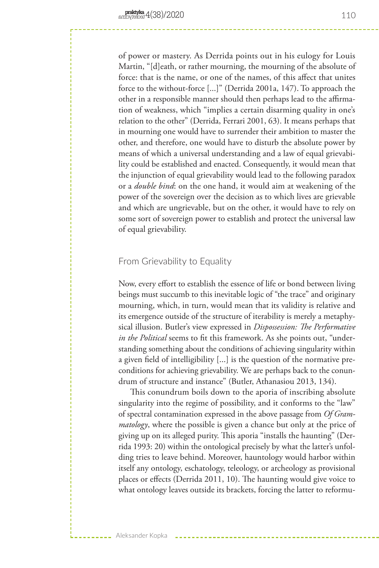of power or mastery. As Derrida points out in his eulogy for Louis Martin, "[d]eath, or rather mourning, the mourning of the absolute of force: that is the name, or one of the names, of this affect that unites force to the without-force [...]" (Derrida 2001a, 147). To approach the other in a responsible manner should then perhaps lead to the affirmation of weakness, which "implies a certain disarming quality in one's relation to the other" (Derrida, Ferrari 2001, 63). It means perhaps that in mourning one would have to surrender their ambition to master the other, and therefore, one would have to disturb the absolute power by means of which a universal understanding and a law of equal grievability could be established and enacted. Consequently, it would mean that the injunction of equal grievability would lead to the following paradox or a *double bind*: on the one hand, it would aim at weakening of the power of the sovereign over the decision as to which lives are grievable and which are ungrievable, but on the other, it would have to rely on some sort of sovereign power to establish and protect the universal law of equal grievability.

# From Grievability to Equality

Aleksander Kopka

Now, every effort to establish the essence of life or bond between living beings must succumb to this inevitable logic of "the trace" and originary mourning, which, in turn, would mean that its validity is relative and its emergence outside of the structure of iterability is merely a metaphysical illusion. Butler's view expressed in *Dispossession: The Performative in the Political* seems to fit this framework. As she points out, "understanding something about the conditions of achieving singularity within a given field of intelligibility [...] is the question of the normative preconditions for achieving grievability. We are perhaps back to the conundrum of structure and instance" (Butler, Athanasiou 2013, 134).

This conundrum boils down to the aporia of inscribing absolute singularity into the regime of possibility, and it conforms to the "law" of spectral contamination expressed in the above passage from *Of Grammatology*, where the possible is given a chance but only at the price of giving up on its alleged purity. This aporia "installs the haunting" (Derrida 1993: 20) within the ontological precisely by what the latter's unfolding tries to leave behind. Moreover, hauntology would harbor within itself any ontology, eschatology, teleology, or archeology as provisional places or effects (Derrida 2011, 10). The haunting would give voice to what ontology leaves outside its brackets, forcing the latter to reformu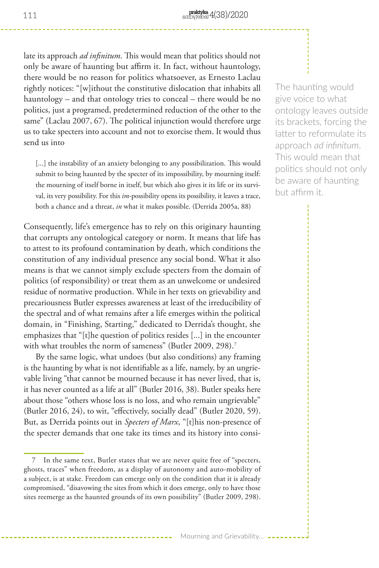late its approach *ad infinitum*. This would mean that politics should not only be aware of haunting but affirm it. In fact, without hauntology, there would be no reason for politics whatsoever, as Ernesto Laclau rightly notices: "[w]ithout the constitutive dislocation that inhabits all hauntology – and that ontology tries to conceal – there would be no politics, just a programed, predetermined reduction of the other to the same" (Laclau 2007, 67). The political injunction would therefore urge us to take specters into account and not to exorcise them. It would thus send us into

[...] the instability of an anxiety belonging to any possibilization. This would submit to being haunted by the specter of its impossibility, by mourning itself: the mourning of itself borne in itself, but which also gives it its life or its survival, its very possibility. For this *im*-possibility opens its possibility, it leaves a trace, both a chance and a threat, *in* what it makes possible. (Derrida 2005a, 88)

Consequently, life's emergence has to rely on this originary haunting that corrupts any ontological category or norm. It means that life has to attest to its profound contamination by death, which conditions the constitution of any individual presence any social bond. What it also means is that we cannot simply exclude specters from the domain of politics (of responsibility) or treat them as an unwelcome or undesired residue of normative production. While in her texts on grievability and precariousness Butler expresses awareness at least of the irreducibility of the spectral and of what remains after a life emerges within the political domain, in "Finishing, Starting," dedicated to Derrida's thought, she emphasizes that "[t]he question of politics resides [...] in the encounter with what troubles the norm of sameness" (Butler 2009, 298).<sup>7</sup>

By the same logic, what undoes (but also conditions) any framing is the haunting by what is not identifiable as a life, namely, by an ungrievable living "that cannot be mourned because it has never lived, that is, it has never counted as a life at all" (Butler 2016, 38). Butler speaks here about those "others whose loss is no loss, and who remain ungrievable" (Butler 2016, 24), to wit, "effectively, socially dead" (Butler 2020, 59). But, as Derrida points out in *Specters of Marx*, "[t]his non-presence of the specter demands that one take its times and its history into consiThe haunting would give voice to what ontology leaves outside its brackets, forcing the latter to reformulate its approach *ad infinitum*. This would mean that politics should not only be aware of haunting but affirm it.

<sup>7</sup> In the same text, Butler states that we are never quite free of "specters, ghosts, traces" when freedom, as a display of autonomy and auto-mobility of a subject, is at stake. Freedom can emerge only on the condition that it is already compromised, "disavowing the sites from which it does emerge, only to have those sites reemerge as the haunted grounds of its own possibility" (Butler 2009, 298).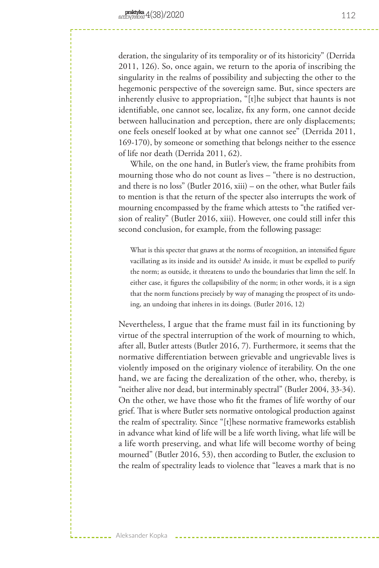deration, the singularity of its temporality or of its historicity" (Derrida 2011, 126). So, once again, we return to the aporia of inscribing the singularity in the realms of possibility and subjecting the other to the hegemonic perspective of the sovereign same. But, since specters are inherently elusive to appropriation, "[t]he subject that haunts is not identifiable, one cannot see, localize, fix any form, one cannot decide between hallucination and perception, there are only displacements; one feels oneself looked at by what one cannot see" (Derrida 2011, 169-170), by someone or something that belongs neither to the essence of life nor death (Derrida 2011, 62).

While, on the one hand, in Butler's view, the frame prohibits from mourning those who do not count as lives – "there is no destruction, and there is no loss" (Butler 2016, xiii) – on the other, what Butler fails to mention is that the return of the specter also interrupts the work of mourning encompassed by the frame which attests to "the ratified version of reality" (Butler 2016, xiii). However, one could still infer this second conclusion, for example, from the following passage:

What is this specter that gnaws at the norms of recognition, an intensified figure vacillating as its inside and its outside? As inside, it must be expelled to purify the norm; as outside, it threatens to undo the boundaries that limn the self. In either case, it figures the collapsibility of the norm; in other words, it is a sign that the norm functions precisely by way of managing the prospect of its undoing, an undoing that inheres in its doings. (Butler 2016, 12)

Nevertheless, I argue that the frame must fail in its functioning by virtue of the spectral interruption of the work of mourning to which, after all, Butler attests (Butler 2016, 7). Furthermore, it seems that the normative differentiation between grievable and ungrievable lives is violently imposed on the originary violence of iterability. On the one hand, we are facing the derealization of the other, who, thereby, is "neither alive nor dead, but interminably spectral" (Butler 2004, 33-34). On the other, we have those who fit the frames of life worthy of our grief. That is where Butler sets normative ontological production against the realm of spectrality. Since "[t]hese normative frameworks establish in advance what kind of life will be a life worth living, what life will be a life worth preserving, and what life will become worthy of being mourned" (Butler 2016, 53), then according to Butler, the exclusion to the realm of spectrality leads to violence that "leaves a mark that is no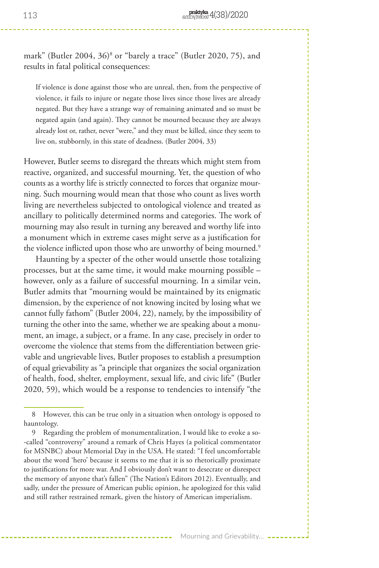mark" (Butler 2004, 36)8 or "barely a trace" (Butler 2020, 75), and results in fatal political consequences:

If violence is done against those who are unreal, then, from the perspective of violence, it fails to injure or negate those lives since those lives are already negated. But they have a strange way of remaining animated and so must be negated again (and again). They cannot be mourned because they are always already lost or, rather, never "were," and they must be killed, since they seem to live on, stubbornly, in this state of deadness. (Butler 2004, 33)

However, Butler seems to disregard the threats which might stem from reactive, organized, and successful mourning. Yet, the question of who counts as a worthy life is strictly connected to forces that organize mourning. Such mourning would mean that those who count as lives worth living are nevertheless subjected to ontological violence and treated as ancillary to politically determined norms and categories. The work of mourning may also result in turning any bereaved and worthy life into a monument which in extreme cases might serve as a justification for the violence inflicted upon those who are unworthy of being mourned.<sup>9</sup>

Haunting by a specter of the other would unsettle those totalizing processes, but at the same time, it would make mourning possible – however, only as a failure of successful mourning. In a similar vein, Butler admits that "mourning would be maintained by its enigmatic dimension, by the experience of not knowing incited by losing what we cannot fully fathom" (Butler 2004, 22), namely, by the impossibility of turning the other into the same, whether we are speaking about a monument, an image, a subject, or a frame. In any case, precisely in order to overcome the violence that stems from the differentiation between grievable and ungrievable lives, Butler proposes to establish a presumption of equal grievability as "a principle that organizes the social organization of health, food, shelter, employment, sexual life, and civic life" (Butler 2020, 59), which would be a response to tendencies to intensify "the

<sup>8</sup> However, this can be true only in a situation when ontology is opposed to hauntology.

<sup>9</sup> Regarding the problem of monumentalization, I would like to evoke a so- -called "controversy" around a remark of Chris Hayes (a political commentator for MSNBC) about Memorial Day in the USA. He stated: "I feel uncomfortable about the word 'hero' because it seems to me that it is so rhetorically proximate to justifications for more war. And I obviously don't want to desecrate or disrespect the memory of anyone that's fallen" (The Nation's Editors 2012). Eventually, and sadly, under the pressure of American public opinion, he apologized for this valid and still rather restrained remark, given the history of American imperialism.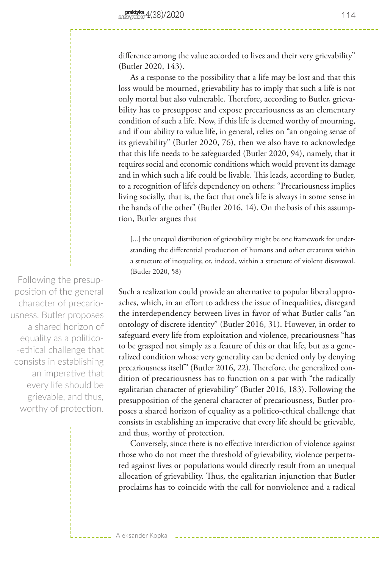difference among the value accorded to lives and their very grievability" (Butler 2020, 143).

As a response to the possibility that a life may be lost and that this loss would be mourned, grievability has to imply that such a life is not only mortal but also vulnerable. Therefore, according to Butler, grievability has to presuppose and expose precariousness as an elementary condition of such a life. Now, if this life is deemed worthy of mourning, and if our ability to value life, in general, relies on "an ongoing sense of its grievability" (Butler 2020, 76), then we also have to acknowledge that this life needs to be safeguarded (Butler 2020, 94), namely, that it requires social and economic conditions which would prevent its damage and in which such a life could be livable. This leads, according to Butler, to a recognition of life's dependency on others: "Precariousness implies living socially, that is, the fact that one's life is always in some sense in the hands of the other" (Butler 2016, 14). On the basis of this assumption, Butler argues that

[...] the unequal distribution of grievability might be one framework for understanding the differential production of humans and other creatures within a structure of inequality, or, indeed, within a structure of violent disavowal. (Butler 2020, 58)

Such a realization could provide an alternative to popular liberal approaches, which, in an effort to address the issue of inequalities, disregard the interdependency between lives in favor of what Butler calls "an ontology of discrete identity" (Butler 2016, 31). However, in order to safeguard every life from exploitation and violence, precariousness "has to be grasped not simply as a feature of this or that life, but as a generalized condition whose very generality can be denied only by denying precariousness itself" (Butler 2016, 22). Therefore, the generalized condition of precariousness has to function on a par with "the radically egalitarian character of grievability" (Butler 2016, 183). Following the presupposition of the general character of precariousness, Butler proposes a shared horizon of equality as a politico-ethical challenge that consists in establishing an imperative that every life should be grievable, and thus, worthy of protection.

Conversely, since there is no effective interdiction of violence against those who do not meet the threshold of grievability, violence perpetrated against lives or populations would directly result from an unequal allocation of grievability. Thus, the egalitarian injunction that Butler proclaims has to coincide with the call for nonviolence and a radical

Aleksander Kopka

Following the presupposition of the general character of precariousness, Butler proposes a shared horizon of equality as a politico- -ethical challenge that consists in establishing an imperative that every life should be grievable, and thus, worthy of protection.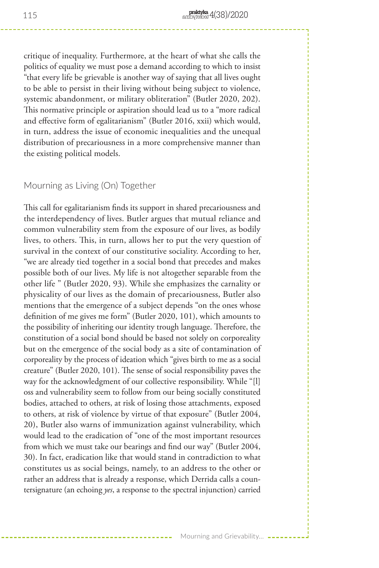critique of inequality. Furthermore, at the heart of what she calls the politics of equality we must pose a demand according to which to insist "that every life be grievable is another way of saying that all lives ought to be able to persist in their living without being subject to violence, systemic abandonment, or military obliteration" (Butler 2020, 202). This normative principle or aspiration should lead us to a "more radical and effective form of egalitarianism" (Butler 2016, xxii) which would, in turn, address the issue of economic inequalities and the unequal distribution of precariousness in a more comprehensive manner than the existing political models.

### Mourning as Living (On) Together

This call for egalitarianism finds its support in shared precariousness and the interdependency of lives. Butler argues that mutual reliance and common vulnerability stem from the exposure of our lives, as bodily lives, to others. This, in turn, allows her to put the very question of survival in the context of our constitutive sociality. According to her, "we are already tied together in a social bond that precedes and makes possible both of our lives. My life is not altogether separable from the other life " (Butler 2020, 93). While she emphasizes the carnality or physicality of our lives as the domain of precariousness, Butler also mentions that the emergence of a subject depends "on the ones whose definition of me gives me form" (Butler 2020, 101), which amounts to the possibility of inheriting our identity trough language. Therefore, the constitution of a social bond should be based not solely on corporeality but on the emergence of the social body as a site of contamination of corporeality by the process of ideation which "gives birth to me as a social creature" (Butler 2020, 101). The sense of social responsibility paves the way for the acknowledgment of our collective responsibility. While "[l] oss and vulnerability seem to follow from our being socially constituted bodies, attached to others, at risk of losing those attachments, exposed to others, at risk of violence by virtue of that exposure" (Butler 2004, 20), Butler also warns of immunization against vulnerability, which would lead to the eradication of "one of the most important resources from which we must take our bearings and find our way" (Butler 2004, 30). In fact, eradication like that would stand in contradiction to what constitutes us as social beings, namely, to an address to the other or rather an address that is already a response, which Derrida calls a countersignature (an echoing *yes*, a response to the spectral injunction) carried

Mourning and Grievability... -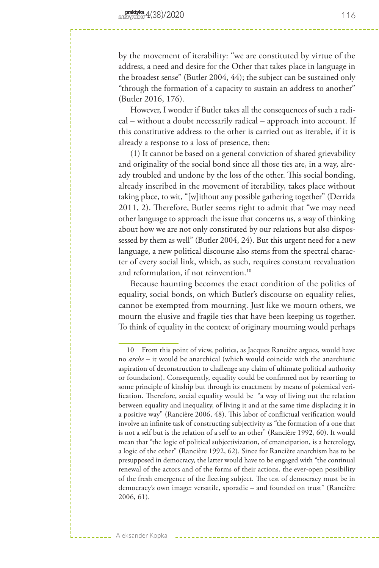by the movement of iterability: "we are constituted by virtue of the address, a need and desire for the Other that takes place in language in the broadest sense" (Butler 2004, 44); the subject can be sustained only "through the formation of a capacity to sustain an address to another" (Butler 2016, 176).

However, I wonder if Butler takes all the consequences of such a radical – without a doubt necessarily radical – approach into account. If this constitutive address to the other is carried out as iterable, if it is already a response to a loss of presence, then:

(1) It cannot be based on a general conviction of shared grievability and originality of the social bond since all those ties are, in a way, already troubled and undone by the loss of the other. This social bonding, already inscribed in the movement of iterability, takes place without taking place, to wit, "[w]ithout any possible gathering together" (Derrida 2011, 2). Therefore, Butler seems right to admit that "we may need other language to approach the issue that concerns us, a way of thinking about how we are not only constituted by our relations but also dispossessed by them as well" (Butler 2004, 24). But this urgent need for a new language, a new political discourse also stems from the spectral character of every social link, which, as such, requires constant reevaluation and reformulation, if not reinvention.10

Because haunting becomes the exact condition of the politics of equality, social bonds, on which Butler's discourse on equality relies, cannot be exempted from mourning. Just like we mourn others, we mourn the elusive and fragile ties that have been keeping us together. To think of equality in the context of originary mourning would perhaps

<sup>10</sup> From this point of view, politics, as Jacques Rancière argues, would have no *arche* – it would be anarchical (which would coincide with the anarchistic aspiration of deconstruction to challenge any claim of ultimate political authority or foundation). Consequently, equality could be confirmed not by resorting to some principle of kinship but through its enactment by means of polemical verification. Therefore, social equality would be "a way of living out the relation between equality and inequality, of living it and at the same time displacing it in a positive way" (Rancière 2006, 48). This labor of conflictual verification would involve an infinite task of constructing subjectivity as "the formation of a one that is not a self but is the relation of a self to an other" (Rancière 1992, 60). It would mean that "the logic of political subjectivization, of emancipation, is a heterology, a logic of the other" (Rancière 1992, 62). Since for Rancière anarchism has to be presupposed in democracy, the latter would have to be engaged with "the continual renewal of the actors and of the forms of their actions, the ever-open possibility of the fresh emergence of the fleeting subject. The test of democracy must be in democracy's own image: versatile, sporadic – and founded on trust" (Rancière 2006, 61).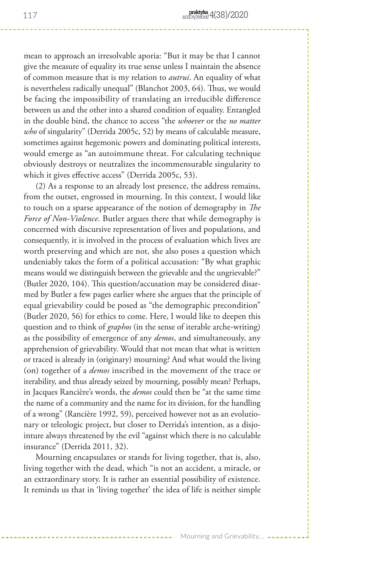mean to approach an irresolvable aporia: "But it may be that I cannot give the measure of equality its true sense unless I maintain the absence of common measure that is my relation to *autrui*. An equality of what is nevertheless radically unequal" (Blanchot 2003, 64). Thus, we would be facing the impossibility of translating an irreducible difference between us and the other into a shared condition of equality. Entangled in the double bind, the chance to access "the *whoever* or the *no matter who* of singularity" (Derrida 2005c, 52) by means of calculable measure, sometimes against hegemonic powers and dominating political interests, would emerge as "an autoimmune threat. For calculating technique obviously destroys or neutralizes the incommensurable singularity to which it gives effective access" (Derrida 2005c, 53).

(2) As a response to an already lost presence, the address remains, from the outset, engrossed in mourning. In this context, I would like to touch on a sparse appearance of the notion of demography in *The Force of Non-Violence*. Butler argues there that while demography is concerned with discursive representation of lives and populations, and consequently, it is involved in the process of evaluation which lives are worth preserving and which are not, she also poses a question which undeniably takes the form of a political accusation: "By what graphic means would we distinguish between the grievable and the ungrievable?" (Butler 2020, 104). This question/accusation may be considered disarmed by Butler a few pages earlier where she argues that the principle of equal grievability could be posed as "the demographic precondition" (Butler 2020, 56) for ethics to come. Here, I would like to deepen this question and to think of *graphos* (in the sense of iterable arche-writing) as the possibility of emergence of any *demos*, and simultaneously, any apprehension of grievability. Would that not mean that what is written or traced is already in (originary) mourning? And what would the living (on) together of a *demos* inscribed in the movement of the trace or iterability, and thus already seized by mourning, possibly mean? Perhaps, in Jacques Rancière's words, the *demos* could then be "at the same time the name of a community and the name for its division, for the handling of a wrong" (Rancière 1992, 59), perceived however not as an evolutionary or teleologic project, but closer to Derrida's intention, as a disjointure always threatened by the evil "against which there is no calculable insurance" (Derrida 2011, 32).

Mourning encapsulates or stands for living together, that is, also, living together with the dead, which "is not an accident, a miracle, or an extraordinary story. It is rather an essential possibility of existence. It reminds us that in 'living together' the idea of life is neither simple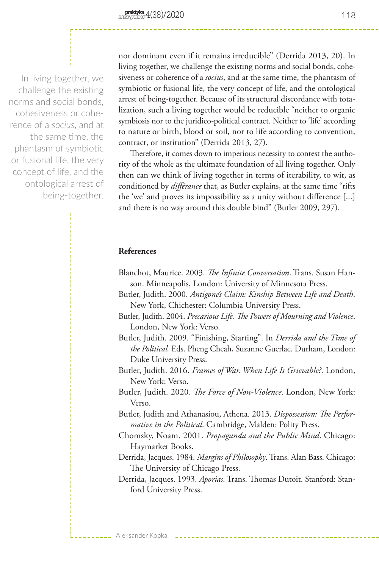In living together, we challenge the existing norms and social bonds, cohesiveness or coherence of a *socius*, and at the same time, the phantasm of symbiotic or fusional life, the very concept of life, and the ontological arrest of being-together.

nor dominant even if it remains irreducible" (Derrida 2013, 20). In living together, we challenge the existing norms and social bonds, cohesiveness or coherence of a *socius*, and at the same time, the phantasm of symbiotic or fusional life, the very concept of life, and the ontological arrest of being-together. Because of its structural discordance with totalization, such a living together would be reducible "neither to organic symbiosis nor to the juridico-political contract. Neither to 'life' according to nature or birth, blood or soil, nor to life according to convention, contract, or institution" (Derrida 2013, 27).

Therefore, it comes down to imperious necessity to contest the authority of the whole as the ultimate foundation of all living together. Only then can we think of living together in terms of iterability, to wit, as conditioned by *différance* that, as Butler explains, at the same time "rifts the 'we' and proves its impossibility as a unity without difference [...] and there is no way around this double bind" (Butler 2009, 297).

#### **References**

Aleksander Kopka

- Blanchot, Maurice. 2003. *The Infinite Conversation*. Trans. Susan Hanson. Minneapolis, London: University of Minnesota Press.
- Butler, Judith. 2000. *Antigone's Claim: Kinship Between Life and Death*. New York, Chichester: Columbia University Press.
- Butler, Judith. 2004. *Precarious Life. The Powers of Mourning and Violence*. London, New York: Verso.
- Butler, Judith. 2009. "Finishing, Starting". In *Derrida and the Time of the Political.* Eds. Pheng Cheah, Suzanne Guerlac. Durham, London: Duke University Press.
- Butler, Judith. 2016. *Frames of War. When Life Is Grievable?*. London, New York: Verso.
- Butler, Judith. 2020. *The Force of Non-Violence*. London, New York: Verso.
- Butler, Judith and Athanasiou, Athena. 2013. *Dispossession: The Performative in the Political*. Cambridge, Malden: Polity Press.
- Chomsky, Noam. 2001. *Propaganda and the Public Mind*. Chicago: Haymarket Books.
- Derrida, Jacques. 1984. *Margins of Philosophy*. Trans. Alan Bass. Chicago: The University of Chicago Press.
- Derrida, Jacques. 1993. *Aporias*. Trans. Thomas Dutoit. Stanford: Stanford University Press.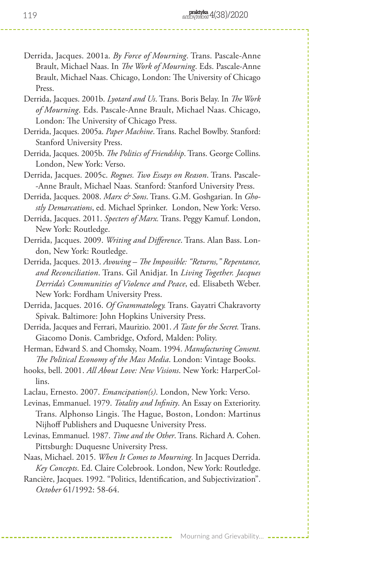- Derrida, Jacques. 2001a. *By Force of Mourning*. Trans. Pascale-Anne Brault, Michael Naas. In *The Work of Mourning*. Eds. Pascale-Anne Brault, Michael Naas. Chicago, London: The University of Chicago Press.
- Derrida, Jacques. 2001b. *Lyotard and Us*. Trans. Boris Belay. In *The Work of Mourning*. Eds. Pascale-Anne Brault, Michael Naas. Chicago, London: The University of Chicago Press.
- Derrida, Jacques. 2005a. *Paper Machine*. Trans. Rachel Bowlby. Stanford: Stanford University Press.
- Derrida, Jacques. 2005b. *The Politics of Friendship*. Trans. George Collins. London, New York: Verso.
- Derrida, Jacques. 2005c. *Rogues. Two Essays on Reason*. Trans. Pascale- -Anne Brault, Michael Naas. Stanford: Stanford University Press.
- Derrida, Jacques. 2008. *Marx & Sons*. Trans. G.M. Goshgarian. In *Ghostly Demarcations*, ed. Michael Sprinker. London, New York: Verso.
- Derrida, Jacques. 2011. *Specters of Marx.* Trans. Peggy Kamuf. London, New York: Routledge.
- Derrida, Jacques. 2009. *Writing and Difference*. Trans. Alan Bass. London, New York: Routledge.
- Derrida, Jacques. 2013. *Avowing The Impossible: "Returns," Repentance, and Reconciliation*. Trans. Gil Anidjar. In *Living Together. Jacques Derrida's Communities of Violence and Peace*, ed. Elisabeth Weber. New York: Fordham University Press.
- Derrida, Jacques. 2016. *Of Grammatology.* Trans. Gayatri Chakravorty Spivak. Baltimore: John Hopkins University Press.
- Derrida, Jacques and Ferrari, Maurizio. 2001. *A Taste for the Secret.* Trans. Giacomo Donis. Cambridge, Oxford, Malden: Polity.
- Herman, Edward S. and Chomsky, Noam. 1994. *Manufacturing Consent. The Political Economy of the Mass Media*. London: Vintage Books.
- hooks, bell. 2001. *All About Love: New Visions*. New York: HarperCollins.
- Laclau, Ernesto. 2007. *Emancipation(s)*. London, New York: Verso.
- Levinas, Emmanuel. 1979. *Totality and Infinity*. An Essay on Exteriority. Trans. Alphonso Lingis. The Hague, Boston, London: Martinus Nijhoff Publishers and Duquesne University Press.
- Levinas, Emmanuel. 1987. *Time and the Other*. Trans. Richard A. Cohen. Pittsburgh: Duquesne University Press.
- Naas, Michael. 2015. *When It Comes to Mourning*. In Jacques Derrida. *Key Concepts*. Ed. Claire Colebrook. London, New York: Routledge.
- Rancière, Jacques. 1992. "Politics, Identification, and Subjectivization". *October* 61/1992: 58-64.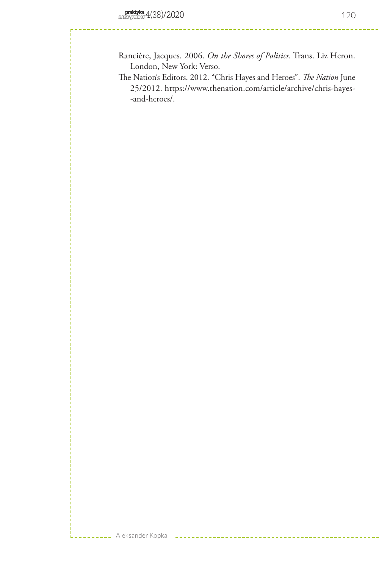Rancière, Jacques. 2006. *On the Shores of Politics*. Trans. Liz Heron. London, New York: Verso.

The Nation's Editors. 2012. "Chris Hayes and Heroes". *The Nation* June 25/2012. https://www.thenation.com/article/archive/chris-hayes- -and-heroes/.

u.